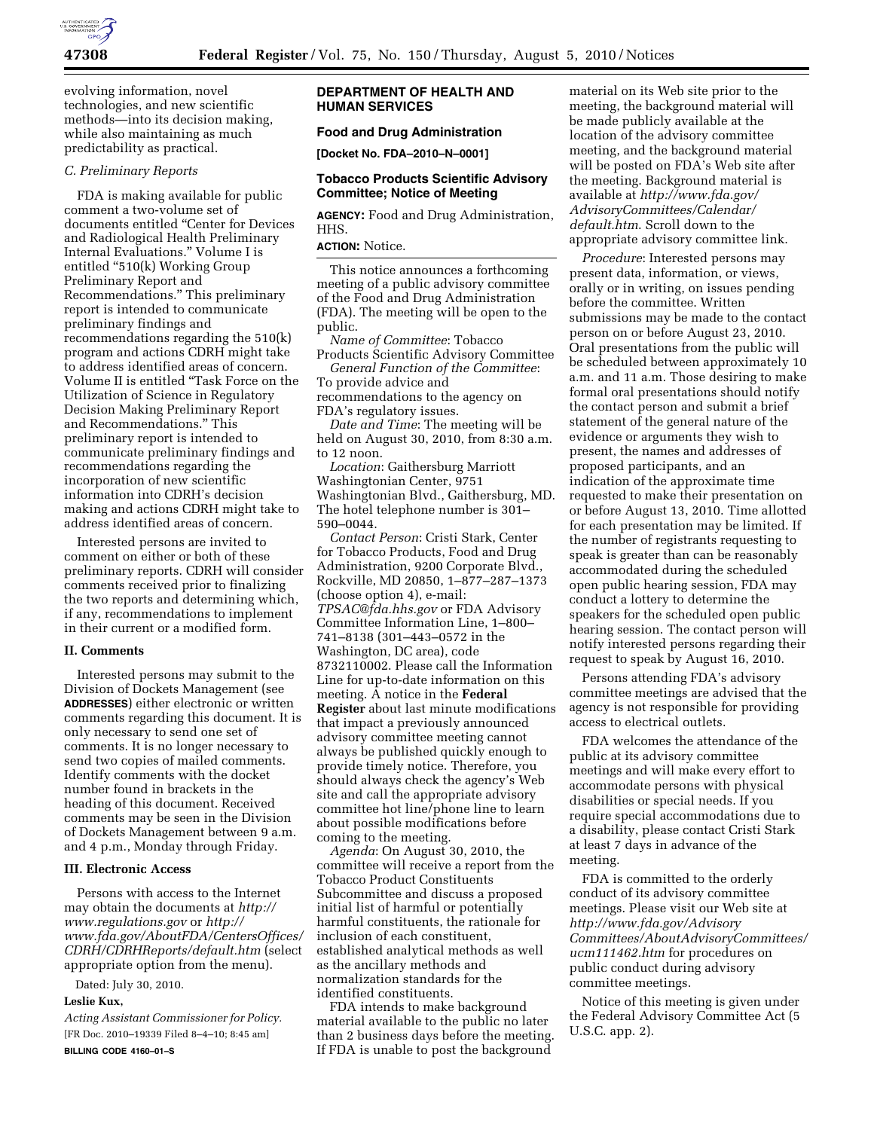

evolving information, novel technologies, and new scientific methods—into its decision making, while also maintaining as much predictability as practical.

## *C. Preliminary Reports*

FDA is making available for public comment a two-volume set of documents entitled ''Center for Devices and Radiological Health Preliminary Internal Evaluations.'' Volume I is entitled ''510(k) Working Group Preliminary Report and Recommendations.'' This preliminary report is intended to communicate preliminary findings and recommendations regarding the 510(k) program and actions CDRH might take to address identified areas of concern. Volume II is entitled ''Task Force on the Utilization of Science in Regulatory Decision Making Preliminary Report and Recommendations.'' This preliminary report is intended to communicate preliminary findings and recommendations regarding the incorporation of new scientific information into CDRH's decision making and actions CDRH might take to address identified areas of concern.

Interested persons are invited to comment on either or both of these preliminary reports. CDRH will consider comments received prior to finalizing the two reports and determining which, if any, recommendations to implement in their current or a modified form.

## **II. Comments**

Interested persons may submit to the Division of Dockets Management (see **ADDRESSES**) either electronic or written comments regarding this document. It is only necessary to send one set of comments. It is no longer necessary to send two copies of mailed comments. Identify comments with the docket number found in brackets in the heading of this document. Received comments may be seen in the Division of Dockets Management between 9 a.m. and 4 p.m., Monday through Friday.

## **III. Electronic Access**

Persons with access to the Internet may obtain the documents at *[http://](http://www.regulations.gov) [www.regulations.gov](http://www.regulations.gov)* or *[http://](http://www.fda.gov/AboutFDA/CentersOffices/CDRH/CDRHReports/default.htm)  [www.fda.gov/AboutFDA/CentersOffices/](http://www.fda.gov/AboutFDA/CentersOffices/CDRH/CDRHReports/default.htm) [CDRH/CDRHReports/default.htm](http://www.fda.gov/AboutFDA/CentersOffices/CDRH/CDRHReports/default.htm)* (select appropriate option from the menu).

Dated: July 30, 2010.

## **Leslie Kux,**

*Acting Assistant Commissioner for Policy.*  [FR Doc. 2010–19339 Filed 8–4–10; 8:45 am] **BILLING CODE 4160–01–S** 

# **DEPARTMENT OF HEALTH AND HUMAN SERVICES**

# **Food and Drug Administration**

**[Docket No. FDA–2010–N–0001]** 

# **Tobacco Products Scientific Advisory Committee; Notice of Meeting**

**AGENCY:** Food and Drug Administration, HHS.

# **ACTION:** Notice.

This notice announces a forthcoming meeting of a public advisory committee of the Food and Drug Administration (FDA). The meeting will be open to the public.

*Name of Committee*: Tobacco

Products Scientific Advisory Committee *General Function of the Committee*:

To provide advice and recommendations to the agency on FDA's regulatory issues.

*Date and Time*: The meeting will be held on August 30, 2010, from 8:30 a.m. to 12 noon.

*Location*: Gaithersburg Marriott Washingtonian Center, 9751 Washingtonian Blvd., Gaithersburg, MD. The hotel telephone number is 301– 590–0044.

*Contact Person*: Cristi Stark, Center for Tobacco Products, Food and Drug Administration, 9200 Corporate Blvd., Rockville, MD 20850, 1–877–287–1373 (choose option 4), e-mail: *[TPSAC@fda.hhs.gov](mailto:TPSAC@fda.hhs.gov)* or FDA Advisory Committee Information Line, 1–800– 741–8138 (301–443–0572 in the Washington, DC area), code 8732110002. Please call the Information Line for up-to-date information on this meeting. A notice in the **Federal Register** about last minute modifications that impact a previously announced advisory committee meeting cannot always be published quickly enough to provide timely notice. Therefore, you should always check the agency's Web site and call the appropriate advisory committee hot line/phone line to learn about possible modifications before coming to the meeting.

*Agenda*: On August 30, 2010, the committee will receive a report from the Tobacco Product Constituents Subcommittee and discuss a proposed initial list of harmful or potentially harmful constituents, the rationale for inclusion of each constituent, established analytical methods as well as the ancillary methods and normalization standards for the identified constituents.

FDA intends to make background material available to the public no later than 2 business days before the meeting. If FDA is unable to post the background

material on its Web site prior to the meeting, the background material will be made publicly available at the location of the advisory committee meeting, and the background material will be posted on FDA's Web site after the meeting. Background material is available at *[http://www.fda.gov/](http://www.fda.gov/AdvisoryCommittees/Calendar/default.htm)  [AdvisoryCommittees/Calendar/](http://www.fda.gov/AdvisoryCommittees/Calendar/default.htm)  [default.htm](http://www.fda.gov/AdvisoryCommittees/Calendar/default.htm)*. Scroll down to the appropriate advisory committee link.

*Procedure*: Interested persons may present data, information, or views, orally or in writing, on issues pending before the committee. Written submissions may be made to the contact person on or before August 23, 2010. Oral presentations from the public will be scheduled between approximately 10 a.m. and 11 a.m. Those desiring to make formal oral presentations should notify the contact person and submit a brief statement of the general nature of the evidence or arguments they wish to present, the names and addresses of proposed participants, and an indication of the approximate time requested to make their presentation on or before August 13, 2010. Time allotted for each presentation may be limited. If the number of registrants requesting to speak is greater than can be reasonably accommodated during the scheduled open public hearing session, FDA may conduct a lottery to determine the speakers for the scheduled open public hearing session. The contact person will notify interested persons regarding their request to speak by August 16, 2010.

Persons attending FDA's advisory committee meetings are advised that the agency is not responsible for providing access to electrical outlets.

FDA welcomes the attendance of the public at its advisory committee meetings and will make every effort to accommodate persons with physical disabilities or special needs. If you require special accommodations due to a disability, please contact Cristi Stark at least 7 days in advance of the meeting.

FDA is committed to the orderly conduct of its advisory committee meetings. Please visit our Web site at *[http://www.fda.gov/Advisory](http://www.fda.gov/AdvisoryCommittees/AboutAdvisoryCommittees/ucm111462.htm) [Committees/AboutAdvisoryCommittees/](http://www.fda.gov/AdvisoryCommittees/AboutAdvisoryCommittees/ucm111462.htm) [ucm111462.htm](http://www.fda.gov/AdvisoryCommittees/AboutAdvisoryCommittees/ucm111462.htm)* for procedures on public conduct during advisory committee meetings.

Notice of this meeting is given under the Federal Advisory Committee Act (5 U.S.C. app. 2).